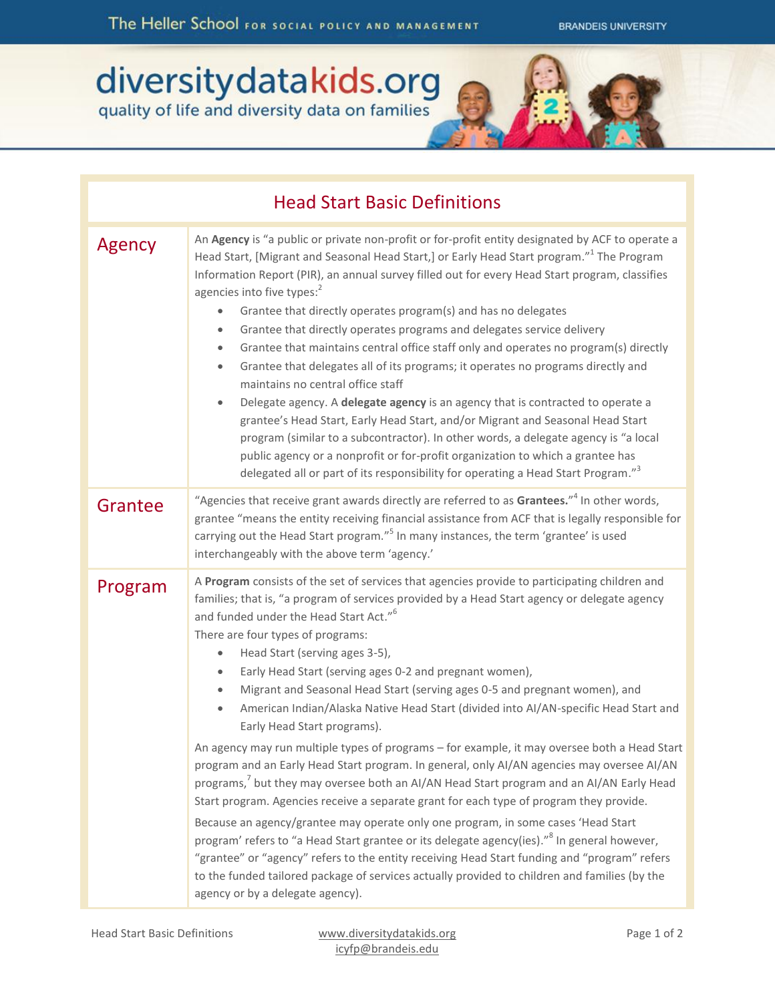## diversity data kids.org<br>quality of life and diversity data on families

| <b>Head Start Basic Definitions</b> |                                                                                                                                                                                                                                                                                                                                                                                                                                                                                                                                                                                                                                                                                                                                                                                                                                                                                                                                                                                                                                                                                                                                                                                                                                                                                                                                                                                                                                                                              |
|-------------------------------------|------------------------------------------------------------------------------------------------------------------------------------------------------------------------------------------------------------------------------------------------------------------------------------------------------------------------------------------------------------------------------------------------------------------------------------------------------------------------------------------------------------------------------------------------------------------------------------------------------------------------------------------------------------------------------------------------------------------------------------------------------------------------------------------------------------------------------------------------------------------------------------------------------------------------------------------------------------------------------------------------------------------------------------------------------------------------------------------------------------------------------------------------------------------------------------------------------------------------------------------------------------------------------------------------------------------------------------------------------------------------------------------------------------------------------------------------------------------------------|
| Agency                              | An Agency is "a public or private non-profit or for-profit entity designated by ACF to operate a<br>Head Start, [Migrant and Seasonal Head Start,] or Early Head Start program." <sup>1</sup> The Program<br>Information Report (PIR), an annual survey filled out for every Head Start program, classifies<br>agencies into five types: <sup>2</sup><br>Grantee that directly operates program(s) and has no delegates<br>$\bullet$<br>Grantee that directly operates programs and delegates service delivery<br>$\bullet$<br>Grantee that maintains central office staff only and operates no program(s) directly<br>$\bullet$<br>Grantee that delegates all of its programs; it operates no programs directly and<br>$\bullet$<br>maintains no central office staff<br>Delegate agency. A delegate agency is an agency that is contracted to operate a<br>$\bullet$<br>grantee's Head Start, Early Head Start, and/or Migrant and Seasonal Head Start<br>program (similar to a subcontractor). In other words, a delegate agency is "a local<br>public agency or a nonprofit or for-profit organization to which a grantee has<br>delegated all or part of its responsibility for operating a Head Start Program." <sup>3</sup>                                                                                                                                                                                                                                           |
| Grantee                             | "Agencies that receive grant awards directly are referred to as Grantees." <sup>4</sup> In other words,<br>grantee "means the entity receiving financial assistance from ACF that is legally responsible for<br>carrying out the Head Start program." <sup>5</sup> In many instances, the term 'grantee' is used<br>interchangeably with the above term 'agency.'                                                                                                                                                                                                                                                                                                                                                                                                                                                                                                                                                                                                                                                                                                                                                                                                                                                                                                                                                                                                                                                                                                            |
| Program                             | A Program consists of the set of services that agencies provide to participating children and<br>families; that is, "a program of services provided by a Head Start agency or delegate agency<br>and funded under the Head Start Act." <sup>6</sup><br>There are four types of programs:<br>Head Start (serving ages 3-5),<br>$\bullet$<br>Early Head Start (serving ages 0-2 and pregnant women),<br>$\bullet$<br>Migrant and Seasonal Head Start (serving ages 0-5 and pregnant women), and<br>۰<br>American Indian/Alaska Native Head Start (divided into Al/AN-specific Head Start and<br>$\bullet$<br>Early Head Start programs).<br>An agency may run multiple types of programs - for example, it may oversee both a Head Start<br>program and an Early Head Start program. In general, only AI/AN agencies may oversee AI/AN<br>programs, <sup>7</sup> but they may oversee both an AI/AN Head Start program and an AI/AN Early Head<br>Start program. Agencies receive a separate grant for each type of program they provide.<br>Because an agency/grantee may operate only one program, in some cases 'Head Start<br>program' refers to "a Head Start grantee or its delegate agency(ies)." <sup>8</sup> In general however,<br>"grantee" or "agency" refers to the entity receiving Head Start funding and "program" refers<br>to the funded tailored package of services actually provided to children and families (by the<br>agency or by a delegate agency). |